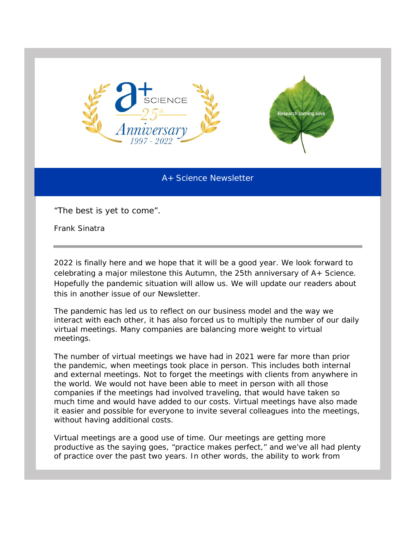

A+ Science Newsletter

"*The best is yet to come".*

Frank Sinatra

2022 is finally here and we hope that it will be a good year. We look forward to celebrating a major milestone this Autumn, the 25th anniversary of A+ Science. Hopefully the pandemic situation will allow us. We will update our readers about this in another issue of our Newsletter.

The pandemic has led us to reflect on our business model and the way we interact with each other, it has also forced us to multiply the number of our daily virtual meetings. Many companies are balancing more weight to virtual meetings.

The number of virtual meetings we have had in 2021 were far more than prior the pandemic, when meetings took place in person. This includes both internal and external meetings. Not to forget the meetings with clients from anywhere in the world. We would not have been able to meet in person with all those companies if the meetings had involved traveling, that would have taken so much time and would have added to our costs. Virtual meetings have also made it easier and possible for everyone to invite several colleagues into the meetings, without having additional costs.

Virtual meetings are a good use of time. Our meetings are getting more productive as the saying goes, "practice makes perfect," and we've all had plenty of practice over the past two years. In other words, the ability to work from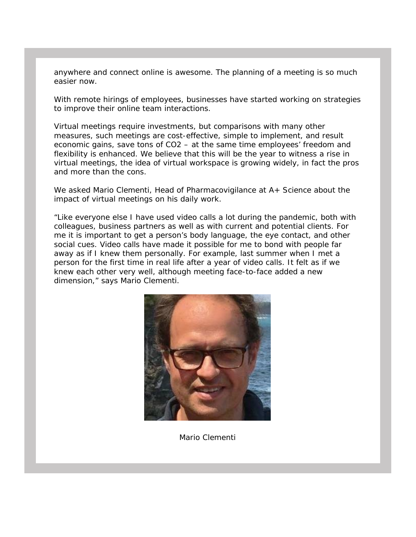anywhere and connect online is awesome. The planning of a meeting is so much easier now.

With remote hirings of employees, businesses have started working on strategies to improve their online team interactions.

Virtual meetings require investments, but comparisons with many other measures, such meetings are cost-effective, simple to implement, and result economic gains, save tons of CO2 – at the same time employees' freedom and flexibility is enhanced. We believe that this will be the year to witness a rise in virtual meetings, the idea of virtual workspace is growing widely, in fact the pros and more than the cons.

We asked Mario Clementi, Head of Pharmacovigilance at A+ Science about the impact of virtual meetings on his daily work.

"Like everyone else I have used video calls a lot during the pandemic, both with colleagues, business partners as well as with current and potential clients. For me it is important to get a person's body language, the eye contact, and other social cues. Video calls have made it possible for me to bond with people far away as if I knew them personally. For example, last summer when I met a person for the first time in real life after a year of video calls. It felt as if we knew each other very well, although meeting face-to-face added a new dimension," says Mario Clementi.



Mario Clementi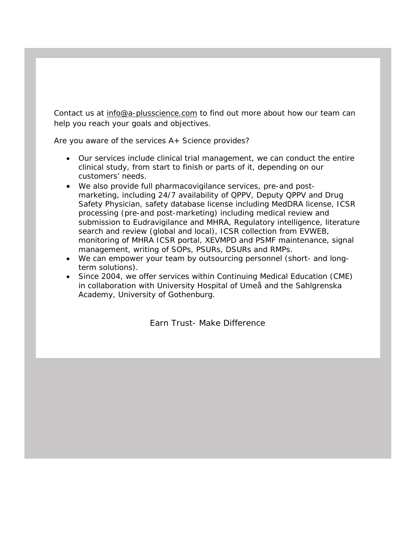Contact us at [info@a-plusscience.com](mailto:info@a-plusscience.com) to find out more about how our team can help you reach your goals and objectives.

Are you aware of the services A+ Science provides?

- Our services include clinical trial management, we can conduct the entire clinical study, from start to finish or parts of it, depending on our customers' needs.
- We also provide full pharmacovigilance services, pre-and postmarketing, including 24/7 availability of QPPV, Deputy QPPV and Drug Safety Physician, safety database license including MedDRA license, ICSR processing (pre-and post-marketing) including medical review and submission to Eudravigilance and MHRA, Regulatory intelligence, literature search and review (global and local), ICSR collection from EVWEB, monitoring of MHRA ICSR portal, XEVMPD and PSMF maintenance, signal management, writing of SOPs, PSURs, DSURs and RMPs.
- We can empower your team by outsourcing personnel (short- and longterm solutions).
- Since 2004, we offer services within Continuing Medical Education (CME) in collaboration with University Hospital of Umeå and the Sahlgrenska Academy, University of Gothenburg.

Earn Trust- Make Difference